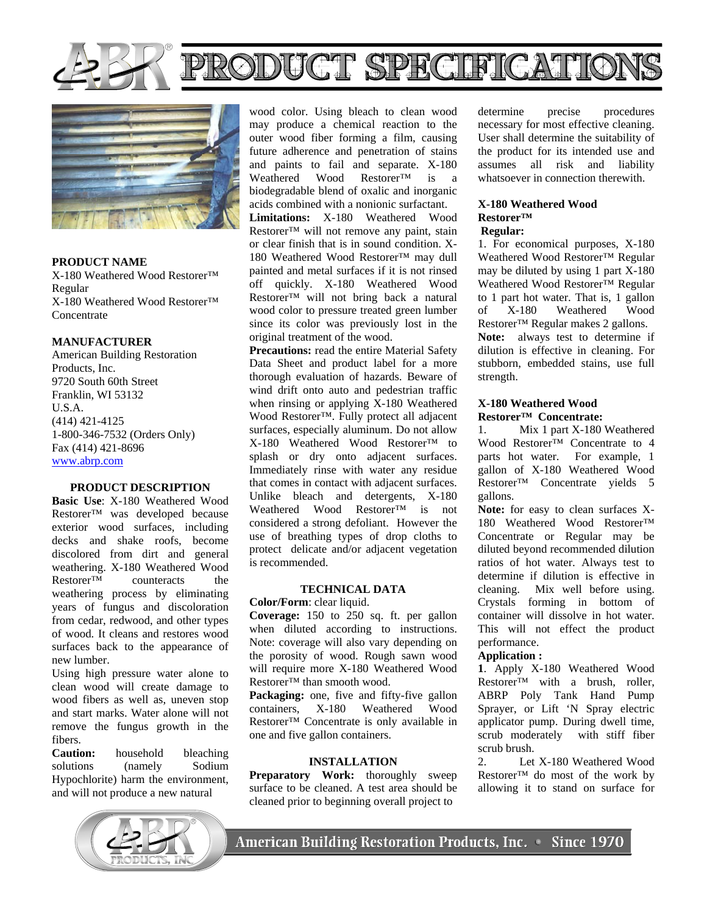

# RODUCT SPECIFICATION



**PRODUCT NAME**  X-180 Weathered Wood Restorer™ Regular X-180 Weathered Wood Restorer™ **Concentrate** 

## **MANUFACTURER**

American Building Restoration Products, Inc. 9720 South 60th Street Franklin, WI 53132 U.S.A. (414) 421-4125 1-800-346-7532 (Orders Only) Fax (414) 421-8696 www.abrp.com

# **PRODUCT DESCRIPTION**

**Basic Use**: X-180 Weathered Wood Restorer™ was developed because exterior wood surfaces, including decks and shake roofs, become discolored from dirt and general weathering. X-180 Weathered Wood  $Restorer^{\overline{TM}}$  counteracts the weathering process by eliminating years of fungus and discoloration from cedar, redwood, and other types of wood. It cleans and restores wood surfaces back to the appearance of new lumber.

Using high pressure water alone to clean wood will create damage to wood fibers as well as, uneven stop and start marks. Water alone will not remove the fungus growth in the fibers.

**Caution:** household bleaching solutions (namely Sodium Hypochlorite) harm the environment, and will not produce a new natural



wood color. Using bleach to clean wood may produce a chemical reaction to the outer wood fiber forming a film, causing future adherence and penetration of stains and paints to fail and separate.  $X-180$ <br>Weathered Wood Restorer<sup>TM</sup> is a Weathered Wood Restorer™ is a biodegradable blend of oxalic and inorganic acids combined with a nonionic surfactant.

**Limitations:** X-180 Weathered Wood Restorer™ will not remove any paint, stain or clear finish that is in sound condition. X-180 Weathered Wood Restorer™ may dull painted and metal surfaces if it is not rinsed off quickly. X-180 Weathered Wood Restorer™ will not bring back a natural wood color to pressure treated green lumber since its color was previously lost in the original treatment of the wood.

**Precautions:** read the entire Material Safety Data Sheet and product label for a more thorough evaluation of hazards. Beware of wind drift onto auto and pedestrian traffic when rinsing or applying X-180 Weathered Wood Restorer™. Fully protect all adjacent surfaces, especially aluminum. Do not allow X-180 Weathered Wood Restorer™ to splash or dry onto adjacent surfaces. Immediately rinse with water any residue that comes in contact with adjacent surfaces. Unlike bleach and detergents, X-180 Weathered Wood Restorer™ is not considered a strong defoliant. However the use of breathing types of drop cloths to protect delicate and/or adjacent vegetation is recommended.

## **TECHNICAL DATA**

**Color/Form**: clear liquid.

**Coverage:** 150 to 250 sq. ft. per gallon when diluted according to instructions. Note: coverage will also vary depending on the porosity of wood. Rough sawn wood will require more X-180 Weathered Wood Restorer™ than smooth wood.

**Packaging:** one, five and fifty-five gallon containers, X-180 Weathered Wood Restorer™ Concentrate is only available in one and five gallon containers.

## **INSTALLATION**

**Preparatory Work:** thoroughly sweep surface to be cleaned. A test area should be cleaned prior to beginning overall project to

determine precise procedures necessary for most effective cleaning. User shall determine the suitability of the product for its intended use and assumes all risk and liability whatsoever in connection therewith.

# **X-180 Weathered Wood Restorer™**

# **Regular:**

1. For economical purposes, X-180 Weathered Wood Restorer™ Regular may be diluted by using 1 part X-180 Weathered Wood Restorer™ Regular to 1 part hot water. That is, 1 gallon of X-180 Weathered Wood Restorer™ Regular makes 2 gallons.

**Note:** always test to determine if dilution is effective in cleaning. For stubborn, embedded stains, use full strength.

#### **X-180 Weathered Wood Restorer™ Concentrate:**

1. Mix 1 part X-180 Weathered Wood Restorer™ Concentrate to 4 parts hot water. For example, 1 gallon of X-180 Weathered Wood Restorer™ Concentrate yields 5 gallons.

Note: for easy to clean surfaces X-180 Weathered Wood Restorer™ Concentrate or Regular may be diluted beyond recommended dilution ratios of hot water. Always test to determine if dilution is effective in cleaning. Mix well before using. Crystals forming in bottom of container will dissolve in hot water. This will not effect the product performance.

# **Application :**

**1**. Apply X-180 Weathered Wood  $R$ estorer<sup>™</sup> with a brush, roller, ABRP Poly Tank Hand Pump Sprayer, or Lift 'N Spray electric applicator pump. During dwell time, scrub moderately with stiff fiber scrub brush.

2. Let X-180 Weathered Wood Restorer™ do most of the work by allowing it to stand on surface for